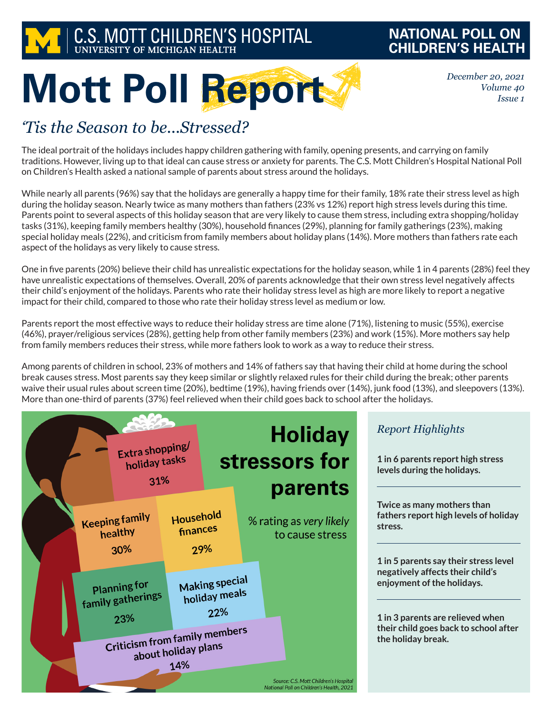

## **NATIONAL POLL ON CHILDREN'S HEALTH**

*December 20, 2021 Volume 40 Issue 1*

# **Mott Poll Report**

## *'Tis the Season to be...Stressed?*

The ideal portrait of the holidays includes happy children gathering with family, opening presents, and carrying on family traditions. However, living up to that ideal can cause stress or anxiety for parents. The C.S. Mott Children's Hospital National Poll on Children's Health asked a national sample of parents about stress around the holidays.

While nearly all parents (96%) say that the holidays are generally a happy time for their family, 18% rate their stress level as high during the holiday season. Nearly twice as many mothers than fathers (23% vs 12%) report high stress levels during this time. Parents point to several aspects of this holiday season that are very likely to cause them stress, including extra shopping/holiday tasks (31%), keeping family members healthy (30%), household finances (29%), planning for family gatherings (23%), making special holiday meals (22%), and criticism from family members about holiday plans (14%). More mothers than fathers rate each aspect of the holidays as very likely to cause stress.

One in five parents (20%) believe their child has unrealistic expectations for the holiday season, while 1 in 4 parents (28%) feel they have unrealistic expectations of themselves. Overall, 20% of parents acknowledge that their own stress level negatively affects their child's enjoyment of the holidays. Parents who rate their holiday stress level as high are more likely to report a negative impact for their child, compared to those who rate their holiday stress level as medium or low.

Parents report the most effective ways to reduce their holiday stress are time alone (71%), listening to music (55%), exercise (46%), prayer/religious services (28%), getting help from other family members (23%) and work (15%). More mothers say help from family members reduces their stress, while more fathers look to work as a way to reduce their stress.

Among parents of children in school, 23% of mothers and 14% of fathers say that having their child at home during the school break causes stress. Most parents say they keep similar or slightly relaxed rules for their child during the break; other parents waive their usual rules about screen time (20%), bedtime (19%), having friends over (14%), junk food (13%), and sleepovers (13%). More than one-third of parents (37%) feel relieved when their child goes back to school after the holidays.



**Twice as many mothers than fathers report high levels of holiday** 

**1 in 5 parents say their stress level negatively affects their child's enjoyment of the holidays.**

**1 in 3 parents are relieved when their child goes back to school after the holiday break.**